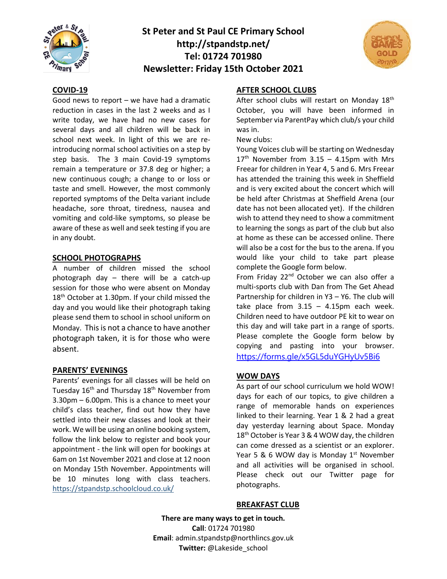

## **St Peter and St Paul CE Primary School http://stpandstp.net/ Tel: 01724 701980 Newsletter: Friday 15th October 2021**



#### **COVID-19**

Good news to report – we have had a dramatic reduction in cases in the last 2 weeks and as I write today, we have had no new cases for several days and all children will be back in school next week. In light of this we are reintroducing normal school activities on a step by step basis. The 3 main Covid-19 symptoms remain a temperature or 37.8 deg or higher; a new continuous cough; a change to or loss or taste and smell. However, the most commonly reported symptoms of the Delta variant include headache, sore throat, tiredness, nausea and vomiting and cold-like symptoms, so please be aware of these as well and seek testing if you are in any doubt.

#### **SCHOOL PHOTOGRAPHS**

A number of children missed the school photograph day – there will be a catch-up session for those who were absent on Monday 18<sup>th</sup> October at 1.30pm. If your child missed the day and you would like their photograph taking please send them to school in school uniform on Monday. This is not a chance to have another photograph taken, it is for those who were absent.

## **PARENTS' EVENINGS**

Parents' evenings for all classes will be held on Tuesday 16<sup>th</sup> and Thursday 18<sup>th</sup> November from 3.30pm – 6.00pm. This is a chance to meet your child's class teacher, find out how they have settled into their new classes and look at their work. We will be using an online booking system, follow the link below to register and book your appointment - the link will open for bookings at 6am on 1st November 2021 and close at 12 noon on Monday 15th November. Appointments will be 10 minutes long with class teachers. <https://stpandstp.schoolcloud.co.uk/>

## **AFTER SCHOOL CLUBS**

After school clubs will restart on Monday 18<sup>th</sup> October, you will have been informed in September via ParentPay which club/s your child was in.

New clubs:

Young Voices club will be starting on Wednesday  $17<sup>th</sup>$  November from 3.15 – 4.15pm with Mrs Freear for children in Year 4, 5 and 6. Mrs Freear has attended the training this week in Sheffield and is very excited about the concert which will be held after Christmas at Sheffield Arena (our date has not been allocated yet). If the children wish to attend they need to show a commitment to learning the songs as part of the club but also at home as these can be accessed online. There will also be a cost for the bus to the arena. If you would like your child to take part please complete the Google form below.

From Friday 22<sup>nd</sup> October we can also offer a multi-sports club with Dan from The Get Ahead Partnership for children in Y3 – Y6. The club will take place from  $3.15 - 4.15$ pm each week. Children need to have outdoor PE kit to wear on this day and will take part in a range of sports. Please complete the Google form below by copying and pasting into your browser. <https://forms.gle/x5GL5duYGHyUv5Bi6>

## **WOW DAYS**

As part of our school curriculum we hold WOW! days for each of our topics, to give children a range of memorable hands on experiences linked to their learning. Year 1 & 2 had a great day yesterday learning about Space. Monday 18<sup>th</sup> October is Year 3 & 4 WOW day, the children can come dressed as a scientist or an explorer. Year 5 & 6 WOW day is Monday  $1<sup>st</sup>$  November and all activities will be organised in school. Please check out our Twitter page for photographs.

## **BREAKFAST CLUB**

**There are many ways to get in touch. Call**: 01724 701980 **Email**: admin.stpandstp@northlincs.gov.uk **Twitter:** @Lakeside\_school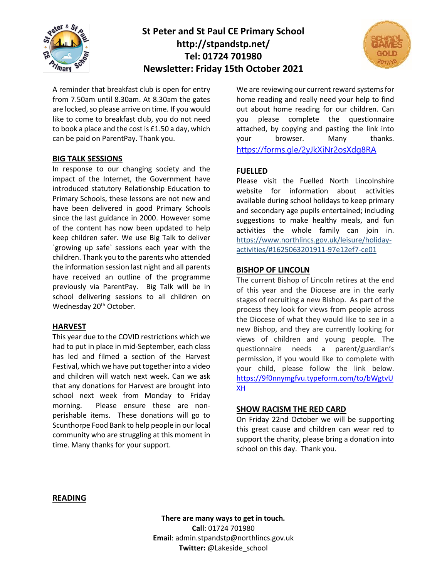

## **St Peter and St Paul CE Primary School http://stpandstp.net/ Tel: 01724 701980 Newsletter: Friday 15th October 2021**



A reminder that breakfast club is open for entry from 7.50am until 8.30am. At 8.30am the gates are locked, so please arrive on time. If you would like to come to breakfast club, you do not need to book a place and the cost is £1.50 a day, which can be paid on ParentPay. Thank you.

#### **BIG TALK SESSIONS**

In response to our changing society and the impact of the Internet, the Government have introduced statutory Relationship Education to Primary Schools, these lessons are not new and have been delivered in good Primary Schools since the last guidance in 2000. However some of the content has now been updated to help keep children safer. We use Big Talk to deliver `growing up safe` sessions each year with the children. Thank you to the parents who attended the information session last night and all parents have received an outline of the programme previously via ParentPay. Big Talk will be in school delivering sessions to all children on Wednesday 20<sup>th</sup> October.

#### **HARVEST**

This year due to the COVID restrictions which we had to put in place in mid-September, each class has led and filmed a section of the Harvest Festival, which we have put together into a video and children will watch next week. Can we ask that any donations for Harvest are brought into school next week from Monday to Friday morning. Please ensure these are nonperishable items. These donations will go to Scunthorpe Food Bank to help people in our local community who are struggling at this moment in time. Many thanks for your support.

We are reviewing our current reward systems for home reading and really need your help to find out about home reading for our children. Can you please complete the questionnaire attached, by copying and pasting the link into your browser. Many thanks. <https://forms.gle/2yJkXiNr2osXdg8RA>

## **FUELLED**

Please visit the Fuelled North Lincolnshire website for information about activities available during school holidays to keep primary and secondary age pupils entertained; including suggestions to make healthy meals, and fun activities the whole family can join in. [https://www.northlincs.gov.uk/leisure/holiday](https://www.northlincs.gov.uk/leisure/holiday-activities/#1625063201911-97e12ef7-ce01)[activities/#1625063201911-97e12ef7-ce01](https://www.northlincs.gov.uk/leisure/holiday-activities/#1625063201911-97e12ef7-ce01)

#### **BISHOP OF LINCOLN**

The current Bishop of Lincoln retires at the end of this year and the Diocese are in the early stages of recruiting a new Bishop. As part of the process they look for views from people across the Diocese of what they would like to see in a new Bishop, and they are currently looking for views of children and young people. The questionnaire needs a parent/guardian's permission, if you would like to complete with your child, please follow the link below. [https://9f0nnymgfvu.typeform.com/to/bWgtvU](https://9f0nnymgfvu.typeform.com/to/bWgtvUXH) [XH](https://9f0nnymgfvu.typeform.com/to/bWgtvUXH)

#### **SHOW RACISM THE RED CARD**

On Friday 22nd October we will be supporting this great cause and children can wear red to support the charity, please bring a donation into school on this day. Thank you.

#### **READING**

**There are many ways to get in touch. Call**: 01724 701980 **Email**: admin.stpandstp@northlincs.gov.uk **Twitter:** @Lakeside\_school